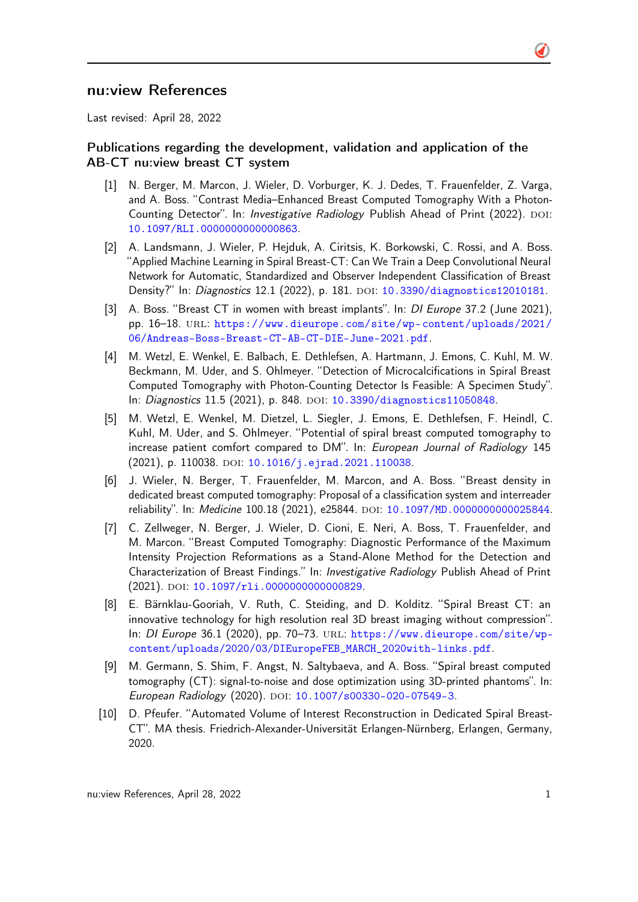## nu:view References

Last revised: April 28, 2022

## Publications regarding the development, validation and application of the AB-CT nu:view breast CT system

- [1] N. Berger, M. Marcon, J. Wieler, D. Vorburger, K. J. Dedes, T. Frauenfelder, Z. Varga, and A. Boss. "Contrast Media–Enhanced Breast Computed Tomography With a Photon-Counting Detector". In: *Investigative Radiology* Publish Ahead of Print (2022). DOI: [10.1097/RLI.0000000000000863](http://dx.doi.org/10.1097/RLI.0000000000000863).
- [2] A. Landsmann, J. Wieler, P. Hejduk, A. Ciritsis, K. Borkowski, C. Rossi, and A. Boss. "Applied Machine Learning in Spiral Breast-CT: Can We Train a Deep Convolutional Neural Network for Automatic, Standardized and Observer Independent Classification of Breast Density?" In: Diagnostics 12.1 (2022), p. 181. DOI: [10.3390/diagnostics12010181](http://dx.doi.org/10.3390/diagnostics12010181).
- [3] A. Boss. "Breast CT in women with breast implants". In: *DI Europe* 37.2 (June 2021), pp. 16–18. url: [https://www.dieurope.com/site/wp-content/uploads/2021/](https://www.dieurope.com/site/wp-content/uploads/2021/06/Andreas-Boss-Breast-CT-AB-CT-DIE-June-2021.pdf) [06/Andreas-Boss-Breast-CT-AB-CT-DIE-June-2021.pdf](https://www.dieurope.com/site/wp-content/uploads/2021/06/Andreas-Boss-Breast-CT-AB-CT-DIE-June-2021.pdf).
- [4] M. Wetzl, E. Wenkel, E. Balbach, E. Dethlefsen, A. Hartmann, J. Emons, C. Kuhl, M. W. Beckmann, M. Uder, and S. Ohlmeyer. "Detection of Microcalcifications in Spiral Breast Computed Tomography with Photon-Counting Detector Is Feasible: A Specimen Study". In: Diagnostics 11.5 (2021), p. 848. DOI: [10.3390/diagnostics11050848](http://dx.doi.org/10.3390/diagnostics11050848).
- [5] M. Wetzl, E. Wenkel, M. Dietzel, L. Siegler, J. Emons, E. Dethlefsen, F. Heindl, C. Kuhl, M. Uder, and S. Ohlmeyer. "Potential of spiral breast computed tomography to increase patient comfort compared to DM". In: European Journal of Radiology 145 (2021), p. 110038. DOI: [10.1016/j.ejrad.2021.110038](http://dx.doi.org/10.1016/j.ejrad.2021.110038).
- [6] J. Wieler, N. Berger, T. Frauenfelder, M. Marcon, and A. Boss. "Breast density in dedicated breast computed tomography: Proposal of a classification system and interreader reliability". In: Medicine 100.18 (2021), e25844. DOI: [10.1097/MD.0000000000025844](http://dx.doi.org/10.1097/MD.0000000000025844).
- [7] C. Zellweger, N. Berger, J. Wieler, D. Cioni, E. Neri, A. Boss, T. Frauenfelder, and M. Marcon. "Breast Computed Tomography: Diagnostic Performance of the Maximum Intensity Projection Reformations as a Stand-Alone Method for the Detection and Characterization of Breast Findings." In: Investigative Radiology Publish Ahead of Print (2021). doi: [10.1097/rli.0000000000000829](http://dx.doi.org/10.1097/rli.0000000000000829).
- [8] E. Bärnklau-Gooriah, V. Ruth, C. Steiding, and D. Kolditz. "Spiral Breast CT: an innovative technology for high resolution real 3D breast imaging without compression". In: DI Europe 36.1 (2020), pp. 70–73. url: [https://www.dieurope.com/site/wp](https://www.dieurope.com/site/wp-content/uploads/2020/03/DIEuropeFEB_MARCH_2020with-links.pdf)[content/uploads/2020/03/DIEuropeFEB\\_MARCH\\_2020with-links.pdf](https://www.dieurope.com/site/wp-content/uploads/2020/03/DIEuropeFEB_MARCH_2020with-links.pdf).
- [9] M. Germann, S. Shim, F. Angst, N. Saltybaeva, and A. Boss. "Spiral breast computed tomography (CT): signal-to-noise and dose optimization using 3D-printed phantoms". In: European Radiology (2020). DOI: [10.1007/s00330-020-07549-3](http://dx.doi.org/10.1007/s00330-020-07549-3).
- [10] D. Pfeufer. "Automated Volume of Interest Reconstruction in Dedicated Spiral Breast-CT". MA thesis. Friedrich-Alexander-Universität Erlangen-Nürnberg, Erlangen, Germany, 2020.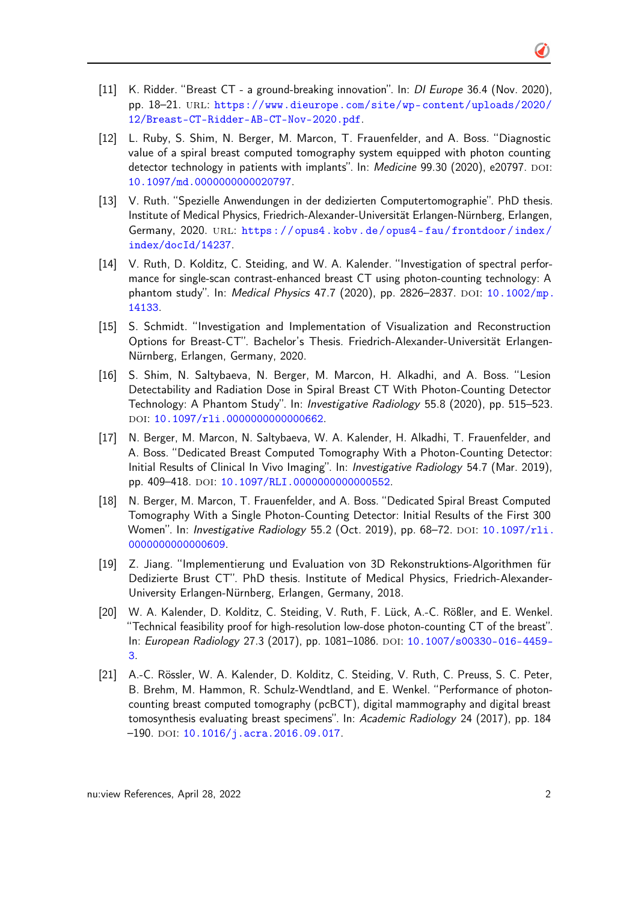- [11] K. Ridder. "Breast CT a ground-breaking innovation". In: DI Europe 36.4 (Nov. 2020), pp. 18–21. url: [https://www.dieurope.com/site/wp-content/uploads/2020/](https://www.dieurope.com/site/wp-content/uploads/2020/12/Breast-CT-Ridder-AB-CT-Nov-2020.pdf) [12/Breast-CT-Ridder-AB-CT-Nov-2020.pdf](https://www.dieurope.com/site/wp-content/uploads/2020/12/Breast-CT-Ridder-AB-CT-Nov-2020.pdf).
- [12] L. Ruby, S. Shim, N. Berger, M. Marcon, T. Frauenfelder, and A. Boss. "Diagnostic value of a spiral breast computed tomography system equipped with photon counting detector technology in patients with implants". In: Medicine 99.30 (2020), e20797. DOI: [10.1097/md.0000000000020797](http://dx.doi.org/10.1097/md.0000000000020797).
- [13] V. Ruth. "Spezielle Anwendungen in der dedizierten Computertomographie". PhD thesis. Institute of Medical Physics, Friedrich-Alexander-Universität Erlangen-Nürnberg, Erlangen, Germany, 2020. URL: https://opus4.kobv.de/opus4-fau/frontdoor/index/ [index/docId/14237](https://opus4.kobv.de/opus4-fau/frontdoor/index/index/docId/14237).
- [14] V. Ruth, D. Kolditz, C. Steiding, and W. A. Kalender. "Investigation of spectral performance for single-scan contrast-enhanced breast CT using photon-counting technology: A phantom study". In: Medical Physics 47.7 (2020), pp. 2826-2837. DOI: [10.1002/mp.](http://dx.doi.org/10.1002/mp.14133) [14133](http://dx.doi.org/10.1002/mp.14133).
- [15] S. Schmidt. "Investigation and Implementation of Visualization and Reconstruction Options for Breast-CT". Bachelor's Thesis. Friedrich-Alexander-Universität Erlangen-Nürnberg, Erlangen, Germany, 2020.
- [16] S. Shim, N. Saltybaeva, N. Berger, M. Marcon, H. Alkadhi, and A. Boss. "Lesion Detectability and Radiation Dose in Spiral Breast CT With Photon-Counting Detector Technology: A Phantom Study". In: Investigative Radiology 55.8 (2020), pp. 515–523. doi: [10.1097/rli.0000000000000662](http://dx.doi.org/10.1097/rli.0000000000000662).
- [17] N. Berger, M. Marcon, N. Saltybaeva, W. A. Kalender, H. Alkadhi, T. Frauenfelder, and A. Boss. "Dedicated Breast Computed Tomography With a Photon-Counting Detector: Initial Results of Clinical In Vivo Imaging". In: Investigative Radiology 54.7 (Mar. 2019), pp. 409-418. DOI: 10.1097/RLI.00000000000000552.
- [18] N. Berger, M. Marcon, T. Frauenfelder, and A. Boss. "Dedicated Spiral Breast Computed Tomography With a Single Photon-Counting Detector: Initial Results of the First 300 Women". In: *Investigative Radiology* 55.2 (Oct. 2019), pp. 68-72. DOI: [10.1097/rli.](http://dx.doi.org/10.1097/rli.0000000000000609) [0000000000000609](http://dx.doi.org/10.1097/rli.0000000000000609).
- [19] Z. Jiang. "Implementierung und Evaluation von 3D Rekonstruktions-Algorithmen für Dedizierte Brust CT". PhD thesis. Institute of Medical Physics, Friedrich-Alexander-University Erlangen-Nürnberg, Erlangen, Germany, 2018.
- [20] W. A. Kalender, D. Kolditz, C. Steiding, V. Ruth, F. Lück, A.-C. Rößler, and E. Wenkel. "Technical feasibility proof for high-resolution low-dose photon-counting CT of the breast". In: European Radiology 27.3 (2017), pp. 1081-1086. DOI: [10.1007/s00330-016-4459-](http://dx.doi.org/10.1007/s00330-016-4459-3) [3](http://dx.doi.org/10.1007/s00330-016-4459-3).
- [21] A.-C. Rössler, W. A. Kalender, D. Kolditz, C. Steiding, V. Ruth, C. Preuss, S. C. Peter, B. Brehm, M. Hammon, R. Schulz-Wendtland, and E. Wenkel. "Performance of photoncounting breast computed tomography (pcBCT), digital mammography and digital breast tomosynthesis evaluating breast specimens". In: Academic Radiology 24 (2017), pp. 184  $-190.$  DOI:  $10.1016/j.acra.2016.09.017.$  $10.1016/j.acra.2016.09.017.$

Õ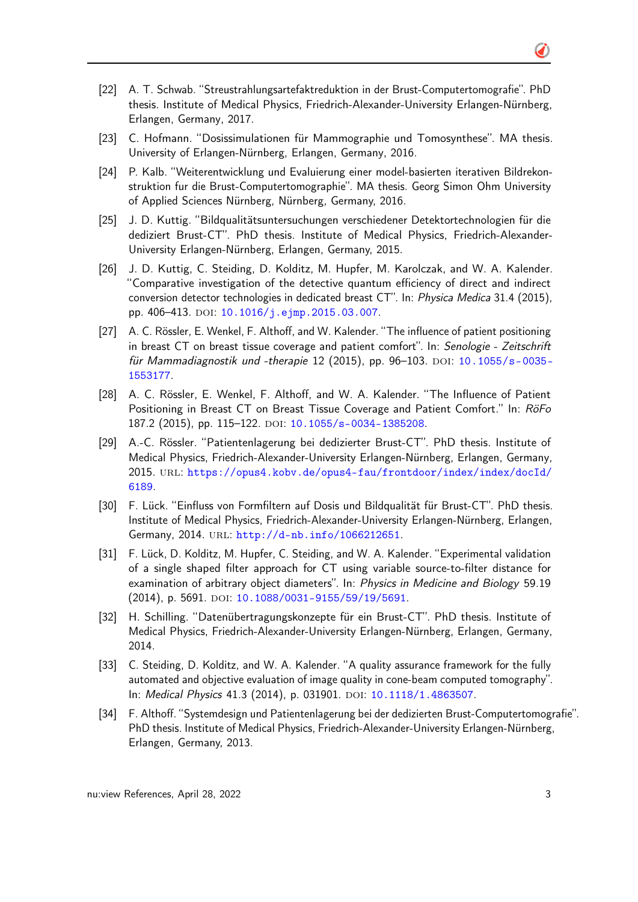- [22] A. T. Schwab. "Streustrahlungsartefaktreduktion in der Brust-Computertomografie". PhD thesis. Institute of Medical Physics, Friedrich-Alexander-University Erlangen-Nürnberg, Erlangen, Germany, 2017.
- [23] C. Hofmann. "Dosissimulationen für Mammographie und Tomosynthese". MA thesis. University of Erlangen-Nürnberg, Erlangen, Germany, 2016.
- [24] P. Kalb. "Weiterentwicklung und Evaluierung einer model-basierten iterativen Bildrekonstruktion fur die Brust-Computertomographie". MA thesis. Georg Simon Ohm University of Applied Sciences Nürnberg, Nürnberg, Germany, 2016.
- [25] J. D. Kuttig. "Bildqualitätsuntersuchungen verschiedener Detektortechnologien für die dediziert Brust-CT". PhD thesis. Institute of Medical Physics, Friedrich-Alexander-University Erlangen-Nürnberg, Erlangen, Germany, 2015.
- [26] J. D. Kuttig, C. Steiding, D. Kolditz, M. Hupfer, M. Karolczak, and W. A. Kalender. "Comparative investigation of the detective quantum efficiency of direct and indirect conversion detector technologies in dedicated breast CT". In: Physica Medica 31.4 (2015), pp. 406-413. DOI: [10.1016/j.ejmp.2015.03.007](http://dx.doi.org/10.1016/j.ejmp.2015.03.007).
- [27] A. C. Rössler, E. Wenkel, F. Althoff, and W. Kalender. "The influence of patient positioning in breast CT on breast tissue coverage and patient comfort". In: Senologie - Zeitschrift für Mammadiagnostik und -therapie 12 (2015), pp. 96–103. DOI: [10.1055/s-0035-](http://dx.doi.org/10.1055/s-0035-1553177) [1553177](http://dx.doi.org/10.1055/s-0035-1553177).
- [28] A. C. Rössler, E. Wenkel, F. Althoff, and W. A. Kalender. "The Influence of Patient Positioning in Breast CT on Breast Tissue Coverage and Patient Comfort." In: RöFo 187.2 (2015), pp. 115-122. DOI: [10.1055/s-0034-1385208](http://dx.doi.org/10.1055/s-0034-1385208).
- [29] A.-C. Rössler. "Patientenlagerung bei dedizierter Brust-CT". PhD thesis. Institute of Medical Physics, Friedrich-Alexander-University Erlangen-Nürnberg, Erlangen, Germany, 2015. url: [https://opus4.kobv.de/opus4-fau/frontdoor/index/index/docId/](https://opus4.kobv.de/opus4-fau/frontdoor/index/index/docId/6189) [6189](https://opus4.kobv.de/opus4-fau/frontdoor/index/index/docId/6189).
- [30] F. Lück. "Einfluss von Formfiltern auf Dosis und Bildqualität für Brust-CT". PhD thesis. Institute of Medical Physics, Friedrich-Alexander-University Erlangen-Nürnberg, Erlangen, Germany, 2014. URL: <http://d-nb.info/1066212651>.
- [31] F. Lück, D. Kolditz, M. Hupfer, C. Steiding, and W. A. Kalender. "Experimental validation of a single shaped filter approach for CT using variable source-to-filter distance for examination of arbitrary object diameters". In: Physics in Medicine and Biology 59.19 (2014), p. 5691. doi: [10.1088/0031-9155/59/19/5691](http://dx.doi.org/10.1088/0031-9155/59/19/5691).
- [32] H. Schilling. "Datenübertragungskonzepte für ein Brust-CT". PhD thesis. Institute of Medical Physics, Friedrich-Alexander-University Erlangen-Nürnberg, Erlangen, Germany, 2014.
- [33] C. Steiding, D. Kolditz, and W. A. Kalender. "A quality assurance framework for the fully automated and objective evaluation of image quality in cone-beam computed tomography". In: Medical Physics 41.3 (2014), p. 031901. DOI: [10.1118/1.4863507](http://dx.doi.org/10.1118/1.4863507).
- [34] F. Althoff. "Systemdesign und Patientenlagerung bei der dedizierten Brust-Computertomografie". PhD thesis. Institute of Medical Physics, Friedrich-Alexander-University Erlangen-Nürnberg, Erlangen, Germany, 2013.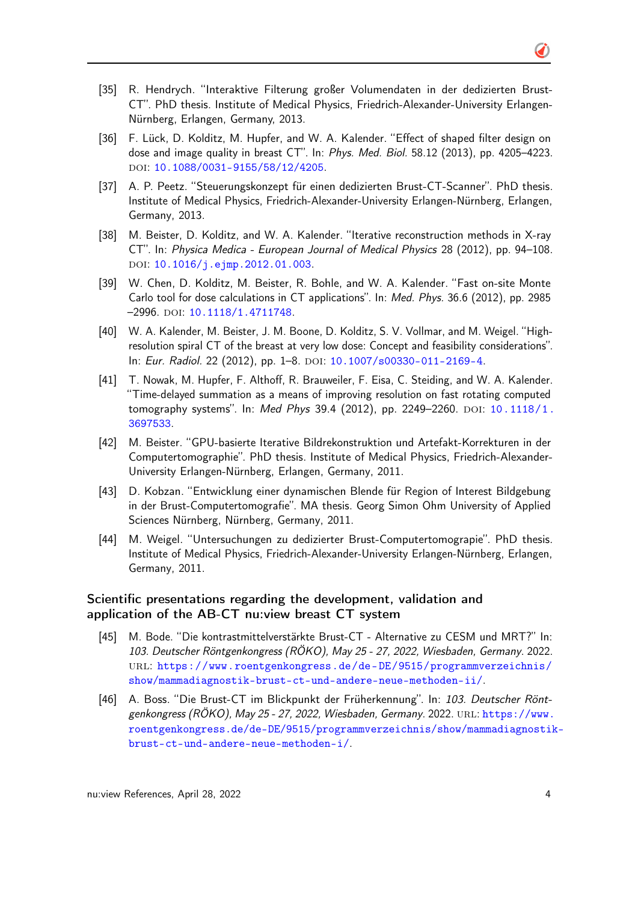- Õ
- [35] R. Hendrych. "Interaktive Filterung großer Volumendaten in der dedizierten Brust-CT". PhD thesis. Institute of Medical Physics, Friedrich-Alexander-University Erlangen-Nürnberg, Erlangen, Germany, 2013.
- [36] F. Lück, D. Kolditz, M. Hupfer, and W. A. Kalender. "Effect of shaped filter design on dose and image quality in breast CT". In: Phys. Med. Biol. 58.12 (2013), pp. 4205–4223. doi: [10.1088/0031-9155/58/12/4205](http://dx.doi.org/10.1088/0031-9155/58/12/4205).
- [37] A. P. Peetz. "Steuerungskonzept für einen dedizierten Brust-CT-Scanner". PhD thesis. Institute of Medical Physics, Friedrich-Alexander-University Erlangen-Nürnberg, Erlangen, Germany, 2013.
- [38] M. Beister, D. Kolditz, and W. A. Kalender. "Iterative reconstruction methods in X-ray CT". In: Physica Medica - European Journal of Medical Physics 28 (2012), pp. 94–108. doi: [10.1016/j.ejmp.2012.01.003](http://dx.doi.org/10.1016/j.ejmp.2012.01.003).
- [39] W. Chen, D. Kolditz, M. Beister, R. Bohle, and W. A. Kalender. "Fast on-site Monte Carlo tool for dose calculations in CT applications". In: Med. Phys. 36.6 (2012), pp. 2985 –2996. doi: [10.1118/1.4711748](http://dx.doi.org/10.1118/1.4711748).
- [40] W. A. Kalender, M. Beister, J. M. Boone, D. Kolditz, S. V. Vollmar, and M. Weigel. "Highresolution spiral CT of the breast at very low dose: Concept and feasibility considerations". In: Eur. Radiol. 22 (2012), pp. 1-8. DOI: [10.1007/s00330-011-2169-4](http://dx.doi.org/10.1007/s00330-011-2169-4).
- [41] T. Nowak, M. Hupfer, F. Althoff, R. Brauweiler, F. Eisa, C. Steiding, and W. A. Kalender. "Time-delayed summation as a means of improving resolution on fast rotating computed tomography systems". In: Med Phys 39.4 (2012), pp. 2249-2260. DOI: [10.1118/1.](http://dx.doi.org/10.1118/1.3697533) [3697533](http://dx.doi.org/10.1118/1.3697533).
- [42] M. Beister. "GPU-basierte Iterative Bildrekonstruktion und Artefakt-Korrekturen in der Computertomographie". PhD thesis. Institute of Medical Physics, Friedrich-Alexander-University Erlangen-Nürnberg, Erlangen, Germany, 2011.
- [43] D. Kobzan. "Entwicklung einer dynamischen Blende für Region of Interest Bildgebung in der Brust-Computertomografie". MA thesis. Georg Simon Ohm University of Applied Sciences Nürnberg, Nürnberg, Germany, 2011.
- [44] M. Weigel. "Untersuchungen zu dedizierter Brust-Computertomograpie". PhD thesis. Institute of Medical Physics, Friedrich-Alexander-University Erlangen-Nürnberg, Erlangen, Germany, 2011.

## Scientific presentations regarding the development, validation and application of the AB-CT nu:view breast CT system

- [45] M. Bode. "Die kontrastmittelverstärkte Brust-CT Alternative zu CESM und MRT?" In: 103. Deutscher Röntgenkongress (RÖKO), May 25 - 27, 2022, Wiesbaden, Germany. 2022. url: [https://www.roentgenkongress.de/de- DE/9515/programmverzeichnis/](https://www.roentgenkongress.de/de-DE/9515/programmverzeichnis/show/mammadiagnostik-brust-ct-und-andere-neue-methoden-ii/) [show/mammadiagnostik-brust-ct-und-andere-neue-methoden-ii/](https://www.roentgenkongress.de/de-DE/9515/programmverzeichnis/show/mammadiagnostik-brust-ct-und-andere-neue-methoden-ii/).
- [46] A. Boss. "Die Brust-CT im Blickpunkt der Früherkennung". In: 103. Deutscher Röntgenkongress (RÖKO), May 25 - 27, 2022, Wiesbaden, Germany. 2022. url: [https://www.](https://www.roentgenkongress.de/de-DE/9515/programmverzeichnis/show/mammadiagnostik-brust-ct-und-andere-neue-methoden-i/) [roentgenkongress.de/de-DE/9515/programmverzeichnis/show/mammadiagnostik](https://www.roentgenkongress.de/de-DE/9515/programmverzeichnis/show/mammadiagnostik-brust-ct-und-andere-neue-methoden-i/)[brust-ct-und-andere-neue-methoden-i/](https://www.roentgenkongress.de/de-DE/9515/programmverzeichnis/show/mammadiagnostik-brust-ct-und-andere-neue-methoden-i/).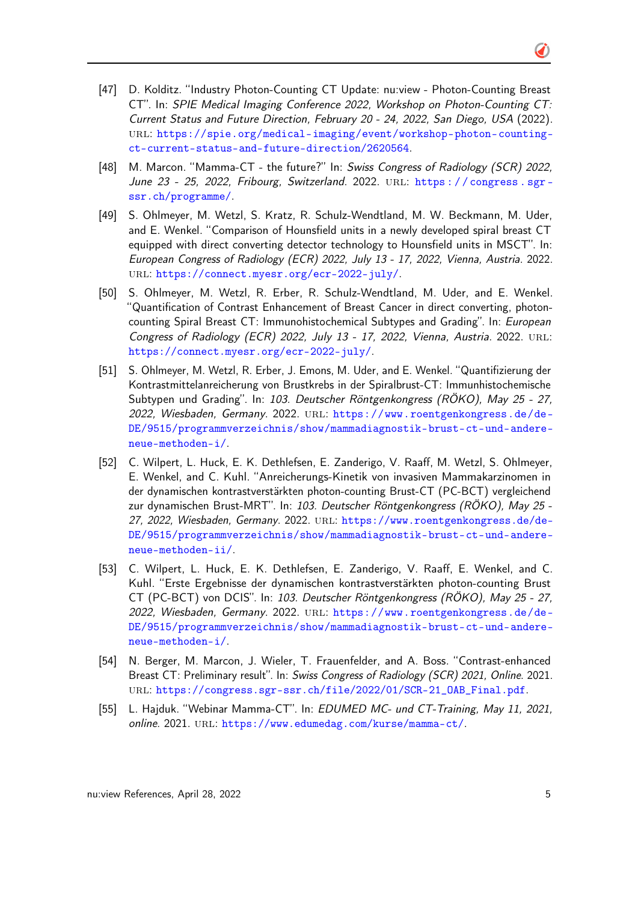- [47] D. Kolditz. "Industry Photon-Counting CT Update: nu:view Photon-Counting Breast CT". In: SPIE Medical Imaging Conference 2022, Workshop on Photon-Counting CT: Current Status and Future Direction, February 20 - 24, 2022, San Diego, USA (2022). url: [https://spie.org/medical-imaging/event/workshop-photon-counting](https://spie.org/medical-imaging/event/workshop-photon-counting-ct-current-status-and-future-direction/2620564)[ct-current-status-and-future-direction/2620564](https://spie.org/medical-imaging/event/workshop-photon-counting-ct-current-status-and-future-direction/2620564).
- [48] M. Marcon. "Mamma-CT the future?" In: Swiss Congress of Radiology (SCR) 2022, June 23 - 25, 2022, Fribourg, Switzerland. 2022. url: [https : / / congress . sgr](https://congress.sgr-ssr.ch/programme/)  [ssr.ch/programme/](https://congress.sgr-ssr.ch/programme/).
- [49] S. Ohlmeyer, M. Wetzl, S. Kratz, R. Schulz-Wendtland, M. W. Beckmann, M. Uder, and E. Wenkel. "Comparison of Hounsfield units in a newly developed spiral breast CT equipped with direct converting detector technology to Hounsfield units in MSCT". In: European Congress of Radiology (ECR) 2022, July 13 - 17, 2022, Vienna, Austria. 2022. url: <https://connect.myesr.org/ecr-2022-july/>.
- [50] S. Ohlmeyer, M. Wetzl, R. Erber, R. Schulz-Wendtland, M. Uder, and E. Wenkel. "Quantification of Contrast Enhancement of Breast Cancer in direct converting, photoncounting Spiral Breast CT: Immunohistochemical Subtypes and Grading". In: European Congress of Radiology (ECR) 2022, July 13 - 17, 2022, Vienna, Austria. 2022. URL: <https://connect.myesr.org/ecr-2022-july/>.
- [51] S. Ohlmeyer, M. Wetzl, R. Erber, J. Emons, M. Uder, and E. Wenkel. "Quantifizierung der Kontrastmittelanreicherung von Brustkrebs in der Spiralbrust-CT: Immunhistochemische Subtypen und Grading". In: 103. Deutscher Röntgenkongress (RÖKO), May 25 - 27, 2022, Wiesbaden, Germany. 2022. URL: [https://www.roentgenkongress.de/de-](https://www.roentgenkongress.de/de-DE/9515/programmverzeichnis/show/mammadiagnostik-brust-ct-und-andere-neue-methoden-i/)[DE/9515/programmverzeichnis/show/mammadiagnostik-brust-ct-und-andere](https://www.roentgenkongress.de/de-DE/9515/programmverzeichnis/show/mammadiagnostik-brust-ct-und-andere-neue-methoden-i/)[neue-methoden-i/](https://www.roentgenkongress.de/de-DE/9515/programmverzeichnis/show/mammadiagnostik-brust-ct-und-andere-neue-methoden-i/).
- [52] C. Wilpert, L. Huck, E. K. Dethlefsen, E. Zanderigo, V. Raaff, M. Wetzl, S. Ohlmeyer, E. Wenkel, and C. Kuhl. "Anreicherungs-Kinetik von invasiven Mammakarzinomen in der dynamischen kontrastverstärkten photon-counting Brust-CT (PC-BCT) vergleichend zur dynamischen Brust-MRT". In: 103. Deutscher Röntgenkongress (RÖKO), May 25 27, 2022, Wiesbaden, Germany. 2022. URL: [https://www.roentgenkongress.de/de-](https://www.roentgenkongress.de/de-DE/9515/programmverzeichnis/show/mammadiagnostik-brust-ct-und-andere-neue-methoden-ii/)[DE/9515/programmverzeichnis/show/mammadiagnostik-brust-ct-und-andere](https://www.roentgenkongress.de/de-DE/9515/programmverzeichnis/show/mammadiagnostik-brust-ct-und-andere-neue-methoden-ii/)[neue-methoden-ii/](https://www.roentgenkongress.de/de-DE/9515/programmverzeichnis/show/mammadiagnostik-brust-ct-und-andere-neue-methoden-ii/).
- [53] C. Wilpert, L. Huck, E. K. Dethlefsen, E. Zanderigo, V. Raaff, E. Wenkel, and C. Kuhl. "Erste Ergebnisse der dynamischen kontrastverstärkten photon-counting Brust CT (PC-BCT) von DCIS". In: 103. Deutscher Röntgenkongress (RÖKO), May 25 - 27, 2022, Wiesbaden, Germany. 2022. url: [https://www.roentgenkongress.de/de-](https://www.roentgenkongress.de/de-DE/9515/programmverzeichnis/show/mammadiagnostik-brust-ct-und-andere-neue-methoden-i/)[DE/9515/programmverzeichnis/show/mammadiagnostik-brust-ct-und-andere](https://www.roentgenkongress.de/de-DE/9515/programmverzeichnis/show/mammadiagnostik-brust-ct-und-andere-neue-methoden-i/)[neue-methoden-i/](https://www.roentgenkongress.de/de-DE/9515/programmverzeichnis/show/mammadiagnostik-brust-ct-und-andere-neue-methoden-i/).
- [54] N. Berger, M. Marcon, J. Wieler, T. Frauenfelder, and A. Boss. "Contrast-enhanced Breast CT: Preliminary result". In: Swiss Congress of Radiology (SCR) 2021, Online. 2021. url: [https://congress.sgr-ssr.ch/file/2022/01/SCR-21\\_OAB\\_Final.pdf](https://congress.sgr-ssr.ch/file/2022/01/SCR-21_OAB_Final.pdf).
- [55] L. Hajduk. "Webinar Mamma-CT". In: EDUMED MC- und CT-Training, May 11, 2021, online. 2021. url: <https://www.edumedag.com/kurse/mamma-ct/>.

◑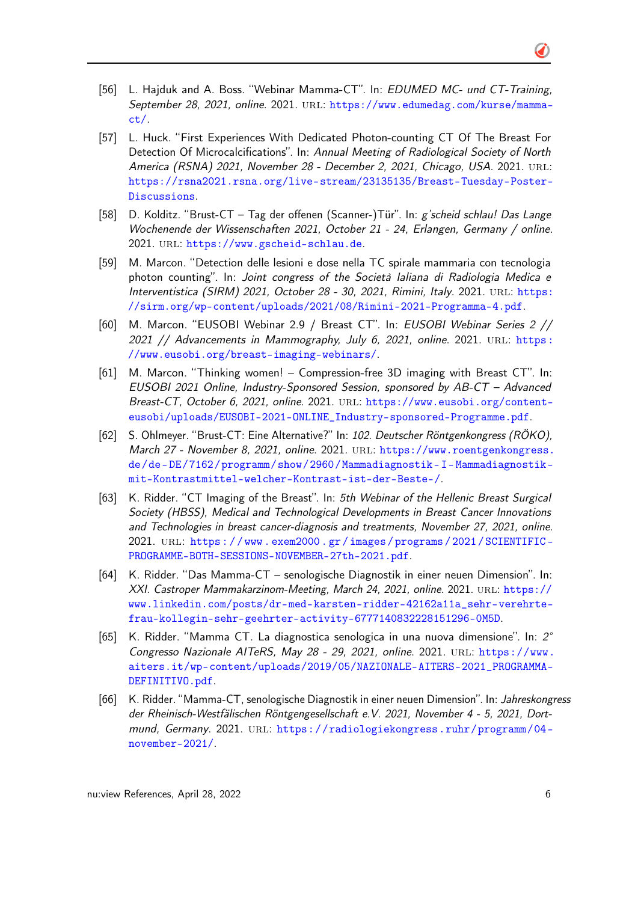- [56] L. Hajduk and A. Boss. "Webinar Mamma-CT". In: EDUMED MC- und CT-Training, September 28, 2021, online. 2021. URL: [https://www.edumedag.com/kurse/mamma](https://www.edumedag.com/kurse/mamma-ct/)[ct/](https://www.edumedag.com/kurse/mamma-ct/).
- [57] L. Huck. "First Experiences With Dedicated Photon-counting CT Of The Breast For Detection Of Microcalcifications". In: Annual Meeting of Radiological Society of North America (RSNA) 2021, November 28 - December 2, 2021, Chicago, USA. 2021. URL: [https://rsna2021.rsna.org/live-stream/23135135/Breast-Tuesday-Poster-](https://rsna2021.rsna.org/live-stream/23135135/Breast-Tuesday-Poster-Discussions)[Discussions](https://rsna2021.rsna.org/live-stream/23135135/Breast-Tuesday-Poster-Discussions).
- [58] D. Kolditz. "Brust-CT Tag der offenen (Scanner-)Tür". In: g'scheid schlau! Das Lange Wochenende der Wissenschaften 2021, October 21 - 24, Erlangen, Germany / online. 2021. url: <https://www.gscheid-schlau.de>.
- [59] M. Marcon. "Detection delle lesioni e dose nella TC spirale mammaria con tecnologia photon counting". In: Joint congress of the Società Ialiana di Radiologia Medica e Interventistica (SIRM) 2021, October 28 - 30, 2021, Rimini, Italy. 2021. URL: [https:](https://sirm.org/wp-content/uploads/2021/08/Rimini-2021-Programma-4.pdf) [//sirm.org/wp-content/uploads/2021/08/Rimini-2021-Programma-4.pdf](https://sirm.org/wp-content/uploads/2021/08/Rimini-2021-Programma-4.pdf).
- [60] M. Marcon. "EUSOBI Webinar 2.9 / Breast CT". In: EUSOBI Webinar Series 2 // 2021 // Advancements in Mammography, July 6, 2021, online. 2021. URL: https: [//www.eusobi.org/breast-imaging-webinars/](https://www.eusobi.org/breast-imaging-webinars/).
- [61] M. Marcon. "Thinking women! Compression-free 3D imaging with Breast CT". In: EUSOBI 2021 Online, Industry-Sponsored Session, sponsored by AB-CT – Advanced Breast-CT, October 6, 2021, online. 2021. url: [https://www.eusobi.org/content](https://www.eusobi.org/content-eusobi/uploads/EUSOBI-2021-ONLINE_Industry-sponsored-Programme.pdf)[eusobi/uploads/EUSOBI-2021-ONLINE\\_Industry-sponsored-Programme.pdf](https://www.eusobi.org/content-eusobi/uploads/EUSOBI-2021-ONLINE_Industry-sponsored-Programme.pdf).
- [62] S. Ohlmeyer. "Brust-CT: Eine Alternative?" In: 102. Deutscher Röntgenkongress (RÖKO), March 27 - November 8, 2021, online. 2021. URL: [https://www.roentgenkongress.](https://www.roentgenkongress.de/de-DE/7162/programm/show/2960/Mammadiagnostik-I-Mammadiagnostik-mit-Kontrastmittel-welcher-Kontrast-ist-der-Beste-/) [de/de- DE/7162/programm/show/2960/Mammadiagnostik- I- Mammadiagnostik](https://www.roentgenkongress.de/de-DE/7162/programm/show/2960/Mammadiagnostik-I-Mammadiagnostik-mit-Kontrastmittel-welcher-Kontrast-ist-der-Beste-/)[mit-Kontrastmittel-welcher-Kontrast-ist-der-Beste-/](https://www.roentgenkongress.de/de-DE/7162/programm/show/2960/Mammadiagnostik-I-Mammadiagnostik-mit-Kontrastmittel-welcher-Kontrast-ist-der-Beste-/).
- [63] K. Ridder. "CT Imaging of the Breast". In: 5th Webinar of the Hellenic Breast Surgical Society (HBSS), Medical and Technological Developments in Breast Cancer Innovations and Technologies in breast cancer-diagnosis and treatments, November 27, 2021, online. 2021. url: [https : / / www . exem2000 . gr / images / programs / 2021 / SCIENTIFIC -](https://www.exem2000.gr/images/programs/2021/SCIENTIFIC-PROGRAMME-BOTH-SESSIONS-NOVEMBER-27th-2021.pdf) [PROGRAMME-BOTH-SESSIONS-NOVEMBER-27th-2021.pdf](https://www.exem2000.gr/images/programs/2021/SCIENTIFIC-PROGRAMME-BOTH-SESSIONS-NOVEMBER-27th-2021.pdf).
- [64] K. Ridder. "Das Mamma-CT senologische Diagnostik in einer neuen Dimension". In: XXI. Castroper Mammakarzinom-Meeting, March 24, 2021, online. 2021. URL: [https://](https://www.linkedin.com/posts/dr-med-karsten-ridder-42162a11a_sehr-verehrte-frau-kollegin-sehr-geehrter-activity-6777140832228151296-0M5D) [www.linkedin.com/posts/dr-med-karsten-ridder-42162a11a\\_sehr-verehrte](https://www.linkedin.com/posts/dr-med-karsten-ridder-42162a11a_sehr-verehrte-frau-kollegin-sehr-geehrter-activity-6777140832228151296-0M5D)[frau-kollegin-sehr-geehrter-activity-6777140832228151296-0M5D](https://www.linkedin.com/posts/dr-med-karsten-ridder-42162a11a_sehr-verehrte-frau-kollegin-sehr-geehrter-activity-6777140832228151296-0M5D).
- [65] K. Ridder. "Mamma CT. La diagnostica senologica in una nuova dimensione". In: 2° Congresso Nazionale AITeRS, May 28 - 29, 2021, online. 2021. url: [https://www.](https://www.aiters.it/wp-content/uploads/2019/05/NAZIONALE-AITERS-2021_PROGRAMMA-DEFINITIVO.pdf) [aiters.it/wp-content/uploads/2019/05/NAZIONALE-AITERS-2021\\_PROGRAMMA-](https://www.aiters.it/wp-content/uploads/2019/05/NAZIONALE-AITERS-2021_PROGRAMMA-DEFINITIVO.pdf)[DEFINITIVO.pdf](https://www.aiters.it/wp-content/uploads/2019/05/NAZIONALE-AITERS-2021_PROGRAMMA-DEFINITIVO.pdf).
- [66] K. Ridder. "Mamma-CT, senologische Diagnostik in einer neuen Dimension". In: Jahreskongress der Rheinisch-Westfälischen Röntgengesellschaft e.V. 2021, November 4 - 5, 2021, Dortmund, Germany. 2021. URL: [https://radiologiekongress.ruhr/programm/04](https://radiologiekongress.ruhr/programm/04-november-2021/) [november-2021/](https://radiologiekongress.ruhr/programm/04-november-2021/).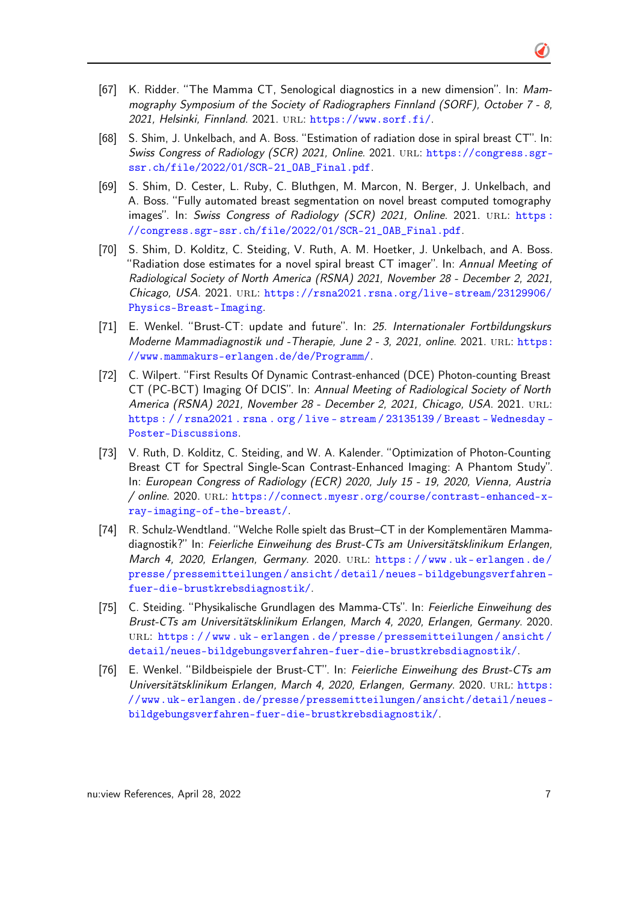- [67] K. Ridder. "The Mamma CT, Senological diagnostics in a new dimension". In: Mammography Symposium of the Society of Radiographers Finnland (SORF), October 7 - 8, 2021, Helsinki, Finnland. 2021. url: <https://www.sorf.fi/>.
- [68] S. Shim, J. Unkelbach, and A. Boss. "Estimation of radiation dose in spiral breast CT". In: Swiss Congress of Radiology (SCR) 2021, Online. 2021. URL: [https://congress.sgr](https://congress.sgr-ssr.ch/file/2022/01/SCR-21_OAB_Final.pdf)[ssr.ch/file/2022/01/SCR-21\\_OAB\\_Final.pdf](https://congress.sgr-ssr.ch/file/2022/01/SCR-21_OAB_Final.pdf).
- [69] S. Shim, D. Cester, L. Ruby, C. Bluthgen, M. Marcon, N. Berger, J. Unkelbach, and A. Boss. "Fully automated breast segmentation on novel breast computed tomography images". In: Swiss Congress of Radiology (SCR) 2021, Online. 2021. URL: [https :](https://congress.sgr-ssr.ch/file/2022/01/SCR-21_OAB_Final.pdf) [//congress.sgr-ssr.ch/file/2022/01/SCR-21\\_OAB\\_Final.pdf](https://congress.sgr-ssr.ch/file/2022/01/SCR-21_OAB_Final.pdf).
- [70] S. Shim, D. Kolditz, C. Steiding, V. Ruth, A. M. Hoetker, J. Unkelbach, and A. Boss. "Radiation dose estimates for a novel spiral breast CT imager". In: Annual Meeting of Radiological Society of North America (RSNA) 2021, November 28 - December 2, 2021, Chicago, USA. 2021. URL: [https://rsna2021.rsna.org/live-stream/23129906/](https://rsna2021.rsna.org/live-stream/23129906/Physics-Breast-Imaging) [Physics-Breast-Imaging](https://rsna2021.rsna.org/live-stream/23129906/Physics-Breast-Imaging).
- [71] E. Wenkel. "Brust-CT: update and future". In: 25. Internationaler Fortbildungskurs Moderne Mammadiagnostik und -Therapie, June 2 - 3, 2021, online. 2021. URL: [https:](https://www.mammakurs-erlangen.de/de/Programm/) [//www.mammakurs-erlangen.de/de/Programm/](https://www.mammakurs-erlangen.de/de/Programm/).
- [72] C. Wilpert. "First Results Of Dynamic Contrast-enhanced (DCE) Photon-counting Breast CT (PC-BCT) Imaging Of DCIS". In: Annual Meeting of Radiological Society of North America (RSNA) 2021, November 28 - December 2, 2021, Chicago, USA. 2021. URL: [https : / / rsna2021 . rsna . org / live - stream / 23135139 / Breast - Wednesday -](https://rsna2021.rsna.org/live-stream/23135139/Breast-Wednesday-Poster-Discussions) [Poster-Discussions](https://rsna2021.rsna.org/live-stream/23135139/Breast-Wednesday-Poster-Discussions).
- [73] V. Ruth, D. Kolditz, C. Steiding, and W. A. Kalender. "Optimization of Photon-Counting Breast CT for Spectral Single-Scan Contrast-Enhanced Imaging: A Phantom Study". In: European Congress of Radiology (ECR) 2020, July 15 - 19, 2020, Vienna, Austria / online. 2020. url: [https://connect.myesr.org/course/contrast-enhanced-x](https://connect.myesr.org/course/contrast-enhanced-x-ray-imaging-of-the-breast/)[ray-imaging-of-the-breast/](https://connect.myesr.org/course/contrast-enhanced-x-ray-imaging-of-the-breast/).
- [74] R. Schulz-Wendtland. "Welche Rolle spielt das Brust–CT in der Komplementären Mammadiagnostik?" In: Feierliche Einweihung des Brust-CTs am Universitätsklinikum Erlangen, March 4, 2020, Erlangen, Germany. 2020. URL: https://www.uk-erlangen.de/ [presse / pressemitteilungen / ansicht / detail / neues - bildgebungsverfahren](https://www.uk-erlangen.de/presse/pressemitteilungen/ansicht/detail/neues-bildgebungsverfahren-fuer-die-brustkrebsdiagnostik/)  [fuer-die-brustkrebsdiagnostik/](https://www.uk-erlangen.de/presse/pressemitteilungen/ansicht/detail/neues-bildgebungsverfahren-fuer-die-brustkrebsdiagnostik/).
- [75] C. Steiding. "Physikalische Grundlagen des Mamma-CTs". In: Feierliche Einweihung des Brust-CTs am Universitätsklinikum Erlangen, March 4, 2020, Erlangen, Germany. 2020. url: [https : / / www . uk - erlangen . de / presse / pressemitteilungen / ansicht /](https://www.uk-erlangen.de/presse/pressemitteilungen/ansicht/detail/neues-bildgebungsverfahren-fuer-die-brustkrebsdiagnostik/) [detail/neues-bildgebungsverfahren-fuer-die-brustkrebsdiagnostik/](https://www.uk-erlangen.de/presse/pressemitteilungen/ansicht/detail/neues-bildgebungsverfahren-fuer-die-brustkrebsdiagnostik/).
- [76] E. Wenkel. "Bildbeispiele der Brust-CT". In: Feierliche Einweihung des Brust-CTs am Universitätsklinikum Erlangen, March 4, 2020, Erlangen, Germany. 2020. URL: [https:](https://www.uk-erlangen.de/presse/pressemitteilungen/ansicht/detail/neues-bildgebungsverfahren-fuer-die-brustkrebsdiagnostik/) [//www.uk- erlangen.de/presse/pressemitteilungen/ansicht/detail/neues](https://www.uk-erlangen.de/presse/pressemitteilungen/ansicht/detail/neues-bildgebungsverfahren-fuer-die-brustkrebsdiagnostik/)[bildgebungsverfahren-fuer-die-brustkrebsdiagnostik/](https://www.uk-erlangen.de/presse/pressemitteilungen/ansicht/detail/neues-bildgebungsverfahren-fuer-die-brustkrebsdiagnostik/).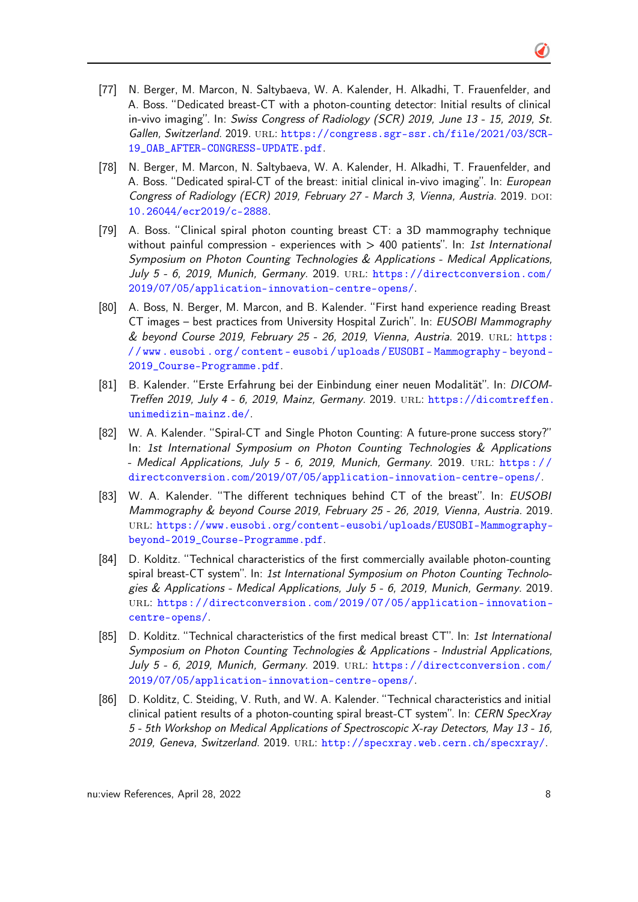- [77] N. Berger, M. Marcon, N. Saltybaeva, W. A. Kalender, H. Alkadhi, T. Frauenfelder, and A. Boss. "Dedicated breast-CT with a photon-counting detector: Initial results of clinical in-vivo imaging". In: Swiss Congress of Radiology (SCR) 2019, June 13 - 15, 2019, St. Gallen, Switzerland. 2019. url: [https://congress.sgr-ssr.ch/file/2021/03/SCR-](https://congress.sgr-ssr.ch/file/2021/03/SCR-19_OAB_AFTER-CONGRESS-UPDATE.pdf)[19\\_OAB\\_AFTER-CONGRESS-UPDATE.pdf](https://congress.sgr-ssr.ch/file/2021/03/SCR-19_OAB_AFTER-CONGRESS-UPDATE.pdf).
- [78] N. Berger, M. Marcon, N. Saltybaeva, W. A. Kalender, H. Alkadhi, T. Frauenfelder, and A. Boss. "Dedicated spiral-CT of the breast: initial clinical in-vivo imaging". In: *European* Congress of Radiology (ECR) 2019, February 27 - March 3, Vienna, Austria. 2019. DOI: [10.26044/ecr2019/c-2888](http://dx.doi.org/10.26044/ecr2019/c-2888).
- [79] A. Boss. "Clinical spiral photon counting breast CT: a 3D mammography technique without painful compression - experiences with  $> 400$  patients". In: 1st International Symposium on Photon Counting Technologies & Applications - Medical Applications, July 5 - 6, 2019, Munich, Germany. 2019. url: [https://directconversion.com/](https://directconversion.com/2019/07/05/application-innovation-centre-opens/) [2019/07/05/application-innovation-centre-opens/](https://directconversion.com/2019/07/05/application-innovation-centre-opens/).
- [80] A. Boss, N. Berger, M. Marcon, and B. Kalender. "First hand experience reading Breast CT images – best practices from University Hospital Zurich". In: EUSOBI Mammography & beyond Course 2019, February 25 - 26, 2019, Vienna, Austria. 2019. url: [https:](https://www.eusobi.org/content-eusobi/uploads/EUSOBI-Mammography-beyond-2019_Course-Programme.pdf) [/ / www . eusobi . org / content - eusobi / uploads / EUSOBI - Mammography - beyond -](https://www.eusobi.org/content-eusobi/uploads/EUSOBI-Mammography-beyond-2019_Course-Programme.pdf) [2019\\_Course-Programme.pdf](https://www.eusobi.org/content-eusobi/uploads/EUSOBI-Mammography-beyond-2019_Course-Programme.pdf).
- [81] B. Kalender. "Erste Erfahrung bei der Einbindung einer neuen Modalität". In: DICOMTreffen 2019, July 4 - 6, 2019, Mainz, Germany. 2019. URL: [https://dicomtreffen.](https://dicomtreffen.unimedizin-mainz.de/) [unimedizin-mainz.de/](https://dicomtreffen.unimedizin-mainz.de/).
- [82] W. A. Kalender. "Spiral-CT and Single Photon Counting: A future-prone success story?" In: 1st International Symposium on Photon Counting Technologies & Applications - Medical Applications, July 5 - 6, 2019, Munich, Germany. 2019. URL: https:// [directconversion.com/2019/07/05/application-innovation-centre-opens/](https://directconversion.com/2019/07/05/application-innovation-centre-opens/).
- [83] W. A. Kalender. "The different techniques behind CT of the breast". In: EUSOBI Mammography & beyond Course 2019, February 25 - 26, 2019, Vienna, Austria. 2019. url: [https://www.eusobi.org/content-eusobi/uploads/EUSOBI-Mammography](https://www.eusobi.org/content-eusobi/uploads/EUSOBI-Mammography-beyond-2019_Course-Programme.pdf)[beyond-2019\\_Course-Programme.pdf](https://www.eusobi.org/content-eusobi/uploads/EUSOBI-Mammography-beyond-2019_Course-Programme.pdf).
- [84] D. Kolditz. "Technical characteristics of the first commercially available photon-counting spiral breast-CT system". In: 1st International Symposium on Photon Counting Technologies & Applications - Medical Applications, July 5 - 6, 2019, Munich, Germany. 2019. url: [https://directconversion.com/2019/07/05/application- innovation](https://directconversion.com/2019/07/05/application-innovation-centre-opens/)[centre-opens/](https://directconversion.com/2019/07/05/application-innovation-centre-opens/).
- [85] D. Kolditz. "Technical characteristics of the first medical breast CT". In: 1st International Symposium on Photon Counting Technologies & Applications - Industrial Applications, July 5 - 6, 2019, Munich, Germany. 2019. url: [https://directconversion.com/](https://directconversion.com/2019/07/05/application-innovation-centre-opens/) [2019/07/05/application-innovation-centre-opens/](https://directconversion.com/2019/07/05/application-innovation-centre-opens/).
- [86] D. Kolditz, C. Steiding, V. Ruth, and W. A. Kalender. "Technical characteristics and initial clinical patient results of a photon-counting spiral breast-CT system". In: CERN SpecXray 5 - 5th Workshop on Medical Applications of Spectroscopic X-ray Detectors, May 13 - 16, 2019, Geneva, Switzerland. 2019. URL: <http://specxray.web.cern.ch/specxray/>.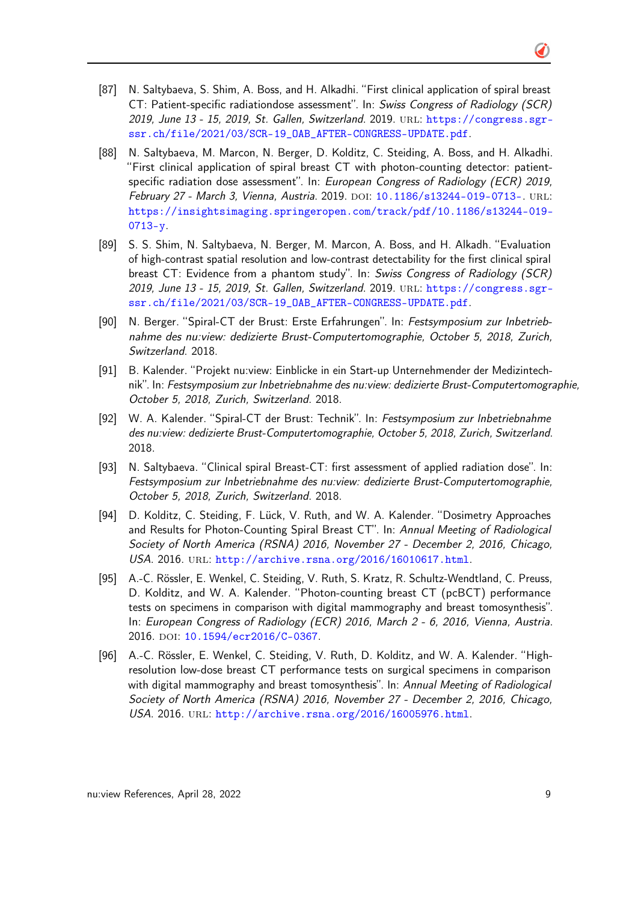- [87] N. Saltybaeva, S. Shim, A. Boss, and H. Alkadhi. "First clinical application of spiral breast CT: Patient-specific radiationdose assessment". In: Swiss Congress of Radiology (SCR) 2019, June 13 - 15, 2019, St. Gallen, Switzerland. 2019. URL: [https://congress.sgr](https://congress.sgr-ssr.ch/file/2021/03/SCR-19_OAB_AFTER-CONGRESS-UPDATE.pdf)[ssr.ch/file/2021/03/SCR-19\\_OAB\\_AFTER-CONGRESS-UPDATE.pdf](https://congress.sgr-ssr.ch/file/2021/03/SCR-19_OAB_AFTER-CONGRESS-UPDATE.pdf).
- [88] N. Saltybaeva, M. Marcon, N. Berger, D. Kolditz, C. Steiding, A. Boss, and H. Alkadhi. "First clinical application of spiral breast CT with photon-counting detector: patientspecific radiation dose assessment". In: European Congress of Radiology (ECR) 2019, February 27 - March 3, Vienna, Austria. 2019. DOI: [10.1186/s13244-019-0713-](http://dx.doi.org/10.1186/s13244-019-0713-). URL: [https://insightsimaging.springeropen.com/track/pdf/10.1186/s13244-019-](https://insightsimaging.springeropen.com/track/pdf/10.1186/s13244-019-0713-y) [0713-y](https://insightsimaging.springeropen.com/track/pdf/10.1186/s13244-019-0713-y).
- [89] S. S. Shim, N. Saltybaeva, N. Berger, M. Marcon, A. Boss, and H. Alkadh. "Evaluation of high-contrast spatial resolution and low-contrast detectability for the first clinical spiral breast CT: Evidence from a phantom study". In: Swiss Congress of Radiology (SCR) 2019, June 13 - 15, 2019, St. Gallen, Switzerland. 2019. url: [https://congress.sgr](https://congress.sgr-ssr.ch/file/2021/03/SCR-19_OAB_AFTER-CONGRESS-UPDATE.pdf)[ssr.ch/file/2021/03/SCR-19\\_OAB\\_AFTER-CONGRESS-UPDATE.pdf](https://congress.sgr-ssr.ch/file/2021/03/SCR-19_OAB_AFTER-CONGRESS-UPDATE.pdf).
- [90] N. Berger. "Spiral-CT der Brust: Erste Erfahrungen". In: Festsymposium zur Inbetriebnahme des nu:view: dedizierte Brust-Computertomographie, October 5, 2018, Zurich, Switzerland. 2018.
- [91] B. Kalender. "Projekt nu:view: Einblicke in ein Start-up Unternehmender der Medizintechnik". In: Festsymposium zur Inbetriebnahme des nu:view: dedizierte Brust-Computertomographie, October 5, 2018, Zurich, Switzerland. 2018.
- [92] W. A. Kalender. "Spiral-CT der Brust: Technik". In: Festsymposium zur Inbetriebnahme des nu:view: dedizierte Brust-Computertomographie, October 5, 2018, Zurich, Switzerland. 2018.
- [93] N. Saltybaeva. "Clinical spiral Breast-CT: first assessment of applied radiation dose". In: Festsymposium zur Inbetriebnahme des nu:view: dedizierte Brust-Computertomographie, October 5, 2018, Zurich, Switzerland. 2018.
- [94] D. Kolditz, C. Steiding, F. Lück, V. Ruth, and W. A. Kalender. "Dosimetry Approaches and Results for Photon-Counting Spiral Breast CT". In: Annual Meeting of Radiological Society of North America (RSNA) 2016, November 27 - December 2, 2016, Chicago, USA. 2016. url: <http://archive.rsna.org/2016/16010617.html>.
- [95] A.-C. Rössler, E. Wenkel, C. Steiding, V. Ruth, S. Kratz, R. Schultz-Wendtland, C. Preuss, D. Kolditz, and W. A. Kalender. "Photon-counting breast CT (pcBCT) performance tests on specimens in comparison with digital mammography and breast tomosynthesis". In: European Congress of Radiology (ECR) 2016, March 2 - 6, 2016, Vienna, Austria. 2016. doi: [10.1594/ecr2016/C-0367](http://dx.doi.org/10.1594/ecr2016/C-0367).
- [96] A.-C. Rössler, E. Wenkel, C. Steiding, V. Ruth, D. Kolditz, and W. A. Kalender. "Highresolution low-dose breast CT performance tests on surgical specimens in comparison with digital mammography and breast tomosynthesis". In: Annual Meeting of Radiological Society of North America (RSNA) 2016, November 27 - December 2, 2016, Chicago, USA. 2016. url: <http://archive.rsna.org/2016/16005976.html>.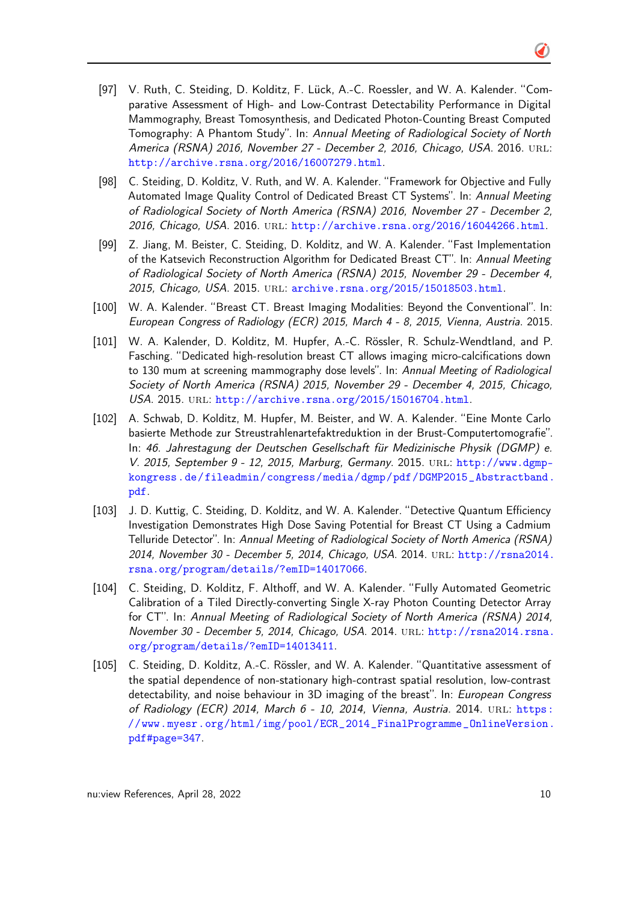- [97] V. Ruth, C. Steiding, D. Kolditz, F. Lück, A.-C. Roessler, and W. A. Kalender. "Comparative Assessment of High- and Low-Contrast Detectability Performance in Digital Mammography, Breast Tomosynthesis, and Dedicated Photon-Counting Breast Computed Tomography: A Phantom Study". In: Annual Meeting of Radiological Society of North America (RSNA) 2016, November 27 - December 2, 2016, Chicago, USA. 2016. URL: <http://archive.rsna.org/2016/16007279.html>.
- [98] C. Steiding, D. Kolditz, V. Ruth, and W. A. Kalender. "Framework for Objective and Fully Automated Image Quality Control of Dedicated Breast CT Systems". In: Annual Meeting of Radiological Society of North America (RSNA) 2016, November 27 - December 2, 2016, Chicago, USA. 2016. url: <http://archive.rsna.org/2016/16044266.html>.
- [99] Z. Jiang, M. Beister, C. Steiding, D. Kolditz, and W. A. Kalender. "Fast Implementation of the Katsevich Reconstruction Algorithm for Dedicated Breast CT". In: Annual Meeting of Radiological Society of North America (RSNA) 2015, November 29 - December 4, 2015, Chicago, USA. 2015. URL: <archive.rsna.org/2015/15018503.html>.
- [100] W. A. Kalender. "Breast CT. Breast Imaging Modalities: Beyond the Conventional". In: European Congress of Radiology (ECR) 2015, March 4 - 8, 2015, Vienna, Austria. 2015.
- [101] W. A. Kalender, D. Kolditz, M. Hupfer, A.-C. Rössler, R. Schulz-Wendtland, and P. Fasching. "Dedicated high-resolution breast CT allows imaging micro-calcifications down to 130 mum at screening mammography dose levels". In: Annual Meeting of Radiological Society of North America (RSNA) 2015, November 29 - December 4, 2015, Chicago, USA. 2015. url: <http://archive.rsna.org/2015/15016704.html>.
- [102] A. Schwab, D. Kolditz, M. Hupfer, M. Beister, and W. A. Kalender. "Eine Monte Carlo basierte Methode zur Streustrahlenartefaktreduktion in der Brust-Computertomografie". In: 46. Jahrestagung der Deutschen Gesellschaft für Medizinische Physik (DGMP) e. V. 2015, September 9 - 12, 2015, Marburg, Germany. 2015. URL: [http://www.dgmp](http://www.dgmp-kongress.de/fileadmin/congress/media/dgmp/pdf/DGMP2015_Abstractband.pdf)[kongress.de/fileadmin/congress/media/dgmp/pdf/DGMP2015\\_Abstractband.](http://www.dgmp-kongress.de/fileadmin/congress/media/dgmp/pdf/DGMP2015_Abstractband.pdf) [pdf](http://www.dgmp-kongress.de/fileadmin/congress/media/dgmp/pdf/DGMP2015_Abstractband.pdf).
- [103] J. D. Kuttig, C. Steiding, D. Kolditz, and W. A. Kalender. "Detective Quantum Efficiency Investigation Demonstrates High Dose Saving Potential for Breast CT Using a Cadmium Telluride Detector". In: Annual Meeting of Radiological Society of North America (RSNA) 2014, November 30 - December 5, 2014, Chicago, USA. 2014. url: [http://rsna2014.](http://rsna2014.rsna.org/program/details/?emID=14017066) [rsna.org/program/details/?emID=14017066](http://rsna2014.rsna.org/program/details/?emID=14017066).
- [104] C. Steiding, D. Kolditz, F. Althoff, and W. A. Kalender. "Fully Automated Geometric Calibration of a Tiled Directly-converting Single X-ray Photon Counting Detector Array for CT". In: Annual Meeting of Radiological Society of North America (RSNA) 2014, November 30 - December 5, 2014, Chicago, USA. 2014. URL: [http://rsna2014.rsna.](http://rsna2014.rsna.org/program/details/?emID=14013411) [org/program/details/?emID=14013411](http://rsna2014.rsna.org/program/details/?emID=14013411).
- [105] C. Steiding, D. Kolditz, A.-C. Rössler, and W. A. Kalender. "Quantitative assessment of the spatial dependence of non-stationary high-contrast spatial resolution, low-contrast detectability, and noise behaviour in 3D imaging of the breast". In: European Congress of Radiology (ECR) 2014, March 6 - 10, 2014, Vienna, Austria. 2014. url: [https:](https://www.myesr.org/html/img/pool/ECR_2014_FinalProgramme_OnlineVersion.pdf#page=347) [//www.myesr.org/html/img/pool/ECR\\_2014\\_FinalProgramme\\_OnlineVersion.](https://www.myesr.org/html/img/pool/ECR_2014_FinalProgramme_OnlineVersion.pdf#page=347) [pdf#page=347](https://www.myesr.org/html/img/pool/ECR_2014_FinalProgramme_OnlineVersion.pdf#page=347).

Õ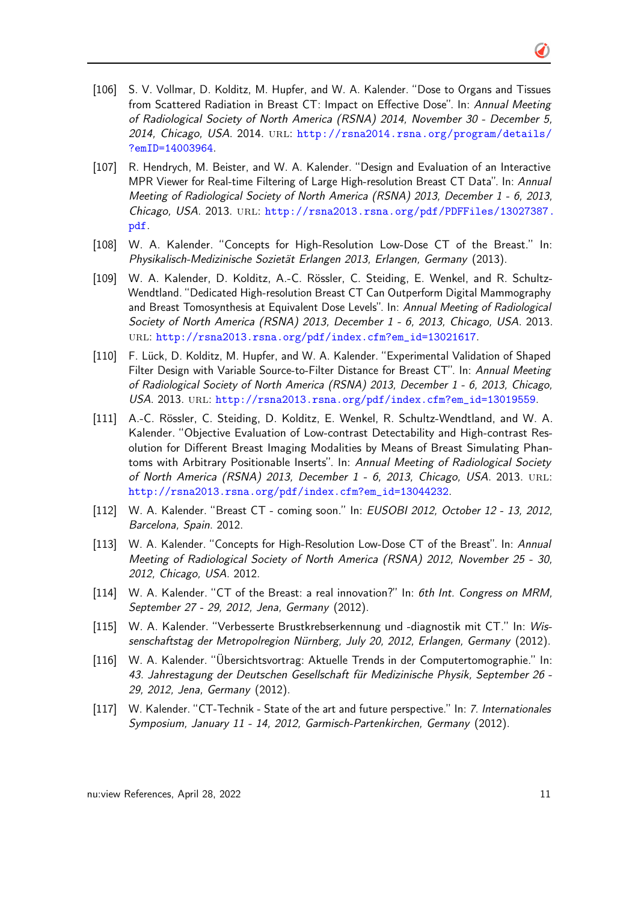- [106] S. V. Vollmar, D. Kolditz, M. Hupfer, and W. A. Kalender. "Dose to Organs and Tissues from Scattered Radiation in Breast CT: Impact on Effective Dose". In: Annual Meeting of Radiological Society of North America (RSNA) 2014, November 30 - December 5, 2014, Chicago, USA. 2014. URL: [http://rsna2014.rsna.org/program/details/](http://rsna2014.rsna.org/program/details/?emID=14003964) [?emID=14003964](http://rsna2014.rsna.org/program/details/?emID=14003964).
- [107] R. Hendrych, M. Beister, and W. A. Kalender. "Design and Evaluation of an Interactive MPR Viewer for Real-time Filtering of Large High-resolution Breast CT Data". In: Annual Meeting of Radiological Society of North America (RSNA) 2013, December 1 - 6, 2013, Chicago, USA. 2013. URL: [http://rsna2013.rsna.org/pdf/PDFFiles/13027387.](http://rsna2013.rsna.org/pdf/PDFFiles/13027387.pdf) [pdf](http://rsna2013.rsna.org/pdf/PDFFiles/13027387.pdf).
- [108] W. A. Kalender. "Concepts for High-Resolution Low-Dose CT of the Breast." In: Physikalisch-Medizinische Sozietät Erlangen 2013, Erlangen, Germany (2013).
- [109] W. A. Kalender, D. Kolditz, A.-C. Rössler, C. Steiding, E. Wenkel, and R. Schultz-Wendtland. "Dedicated High-resolution Breast CT Can Outperform Digital Mammography and Breast Tomosynthesis at Equivalent Dose Levels". In: Annual Meeting of Radiological Society of North America (RSNA) 2013, December 1 - 6, 2013, Chicago, USA. 2013. url: [http://rsna2013.rsna.org/pdf/index.cfm?em\\_id=13021617](http://rsna2013.rsna.org/pdf/index.cfm?em_id=13021617).
- [110] F. Lück, D. Kolditz, M. Hupfer, and W. A. Kalender. "Experimental Validation of Shaped Filter Design with Variable Source-to-Filter Distance for Breast CT". In: Annual Meeting of Radiological Society of North America (RSNA) 2013, December 1 - 6, 2013, Chicago, USA. 2013. url: [http://rsna2013.rsna.org/pdf/index.cfm?em\\_id=13019559](http://rsna2013.rsna.org/pdf/index.cfm?em_id=13019559).
- [111] A.-C. Rössler, C. Steiding, D. Kolditz, E. Wenkel, R. Schultz-Wendtland, and W. A. Kalender. "Objective Evaluation of Low-contrast Detectability and High-contrast Resolution for Different Breast Imaging Modalities by Means of Breast Simulating Phantoms with Arbitrary Positionable Inserts". In: Annual Meeting of Radiological Society of North America (RSNA) 2013, December 1 - 6, 2013, Chicago, USA. 2013. url: [http://rsna2013.rsna.org/pdf/index.cfm?em\\_id=13044232](http://rsna2013.rsna.org/pdf/index.cfm?em_id=13044232).
- [112] W. A. Kalender. "Breast CT coming soon." In: EUSOBI 2012, October 12 13, 2012, Barcelona, Spain. 2012.
- [113] W. A. Kalender. "Concepts for High-Resolution Low-Dose CT of the Breast". In: Annual Meeting of Radiological Society of North America (RSNA) 2012, November 25 - 30, 2012, Chicago, USA. 2012.
- [114] W. A. Kalender. "CT of the Breast: a real innovation?" In: 6th Int. Congress on MRM, September 27 - 29, 2012, Jena, Germany (2012).
- [115] W. A. Kalender. "Verbesserte Brustkrebserkennung und -diagnostik mit CT." In: Wissenschaftstag der Metropolregion Nürnberg, July 20, 2012, Erlangen, Germany (2012).
- [116] W. A. Kalender. "Übersichtsvortrag: Aktuelle Trends in der Computertomographie." In: 43. Jahrestagung der Deutschen Gesellschaft für Medizinische Physik, September 26 - 29, 2012, Jena, Germany (2012).
- [117] W. Kalender. "CT-Technik State of the art and future perspective." In: 7. Internationales Symposium, January 11 - 14, 2012, Garmisch-Partenkirchen, Germany (2012).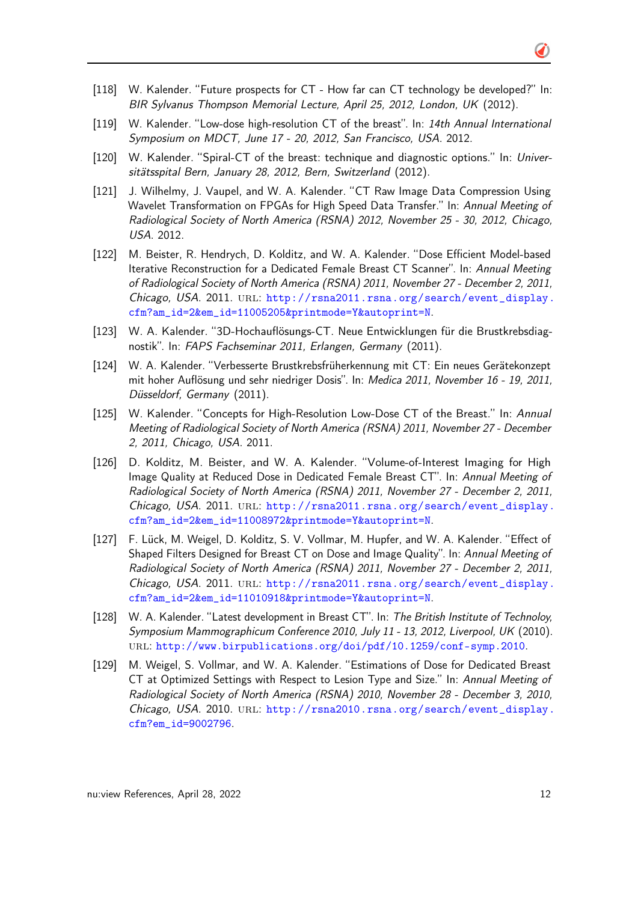- [118] W. Kalender. "Future prospects for CT How far can CT technology be developed?" In: BIR Sylvanus Thompson Memorial Lecture, April 25, 2012, London, UK (2012).
- [119] W. Kalender. "Low-dose high-resolution CT of the breast". In: 14th Annual International Symposium on MDCT, June 17 - 20, 2012, San Francisco, USA. 2012.
- [120] W. Kalender. "Spiral-CT of the breast: technique and diagnostic options." In: Universitätsspital Bern, January 28, 2012, Bern, Switzerland (2012).
- [121] J. Wilhelmy, J. Vaupel, and W. A. Kalender. "CT Raw Image Data Compression Using Wavelet Transformation on FPGAs for High Speed Data Transfer." In: Annual Meeting of Radiological Society of North America (RSNA) 2012, November 25 - 30, 2012, Chicago, USA. 2012.
- [122] M. Beister, R. Hendrych, D. Kolditz, and W. A. Kalender. "Dose Efficient Model-based Iterative Reconstruction for a Dedicated Female Breast CT Scanner". In: Annual Meeting of Radiological Society of North America (RSNA) 2011, November 27 - December 2, 2011, Chicago, USA. 2011. URL: [http://rsna2011.rsna.org/search/event\\_display.](http://rsna2011.rsna.org/search/event_display.cfm?am_id=2&em_id=11005205&printmode=Y&autoprint=N) [cfm?am\\_id=2&em\\_id=11005205&printmode=Y&autoprint=N](http://rsna2011.rsna.org/search/event_display.cfm?am_id=2&em_id=11005205&printmode=Y&autoprint=N).
- [123] W. A. Kalender. "3D-Hochauflösungs-CT. Neue Entwicklungen für die Brustkrebsdiagnostik". In: FAPS Fachseminar 2011, Erlangen, Germany (2011).
- [124] W. A. Kalender. "Verbesserte Brustkrebsfrüherkennung mit CT: Ein neues Gerätekonzept mit hoher Auflösung und sehr niedriger Dosis". In: Medica 2011, November 16 - 19, 2011, Düsseldorf, Germany (2011).
- [125] W. Kalender. "Concepts for High-Resolution Low-Dose CT of the Breast." In: Annual Meeting of Radiological Society of North America (RSNA) 2011, November 27 - December 2, 2011, Chicago, USA. 2011.
- [126] D. Kolditz, M. Beister, and W. A. Kalender. "Volume-of-Interest Imaging for High Image Quality at Reduced Dose in Dedicated Female Breast CT". In: Annual Meeting of Radiological Society of North America (RSNA) 2011, November 27 - December 2, 2011, Chicago, USA. 2011. URL: [http://rsna2011.rsna.org/search/event\\_display.](http://rsna2011.rsna.org/search/event_display.cfm?am_id=2&em_id=11008972&printmode=Y&autoprint=N) [cfm?am\\_id=2&em\\_id=11008972&printmode=Y&autoprint=N](http://rsna2011.rsna.org/search/event_display.cfm?am_id=2&em_id=11008972&printmode=Y&autoprint=N).
- [127] F. Lück, M. Weigel, D. Kolditz, S. V. Vollmar, M. Hupfer, and W. A. Kalender. "Effect of Shaped Filters Designed for Breast CT on Dose and Image Quality". In: Annual Meeting of Radiological Society of North America (RSNA) 2011, November 27 - December 2, 2011, Chicago, USA. 2011. URL: [http://rsna2011.rsna.org/search/event\\_display.](http://rsna2011.rsna.org/search/event_display.cfm?am_id=2&em_id=11010918&printmode=Y&autoprint=N) [cfm?am\\_id=2&em\\_id=11010918&printmode=Y&autoprint=N](http://rsna2011.rsna.org/search/event_display.cfm?am_id=2&em_id=11010918&printmode=Y&autoprint=N).
- [128] W. A. Kalender. "Latest development in Breast CT". In: The British Institute of Technoloy, Symposium Mammographicum Conference 2010, July 11 - 13, 2012, Liverpool, UK (2010). url: <http://www.birpublications.org/doi/pdf/10.1259/conf-symp.2010>.
- [129] M. Weigel, S. Vollmar, and W. A. Kalender. "Estimations of Dose for Dedicated Breast CT at Optimized Settings with Respect to Lesion Type and Size." In: Annual Meeting of Radiological Society of North America (RSNA) 2010, November 28 - December 3, 2010, Chicago, USA. 2010. url: [http://rsna2010.rsna.org/search/event\\_display.](http://rsna2010.rsna.org/search/event_display.cfm?em_id=9002796) [cfm?em\\_id=9002796](http://rsna2010.rsna.org/search/event_display.cfm?em_id=9002796).